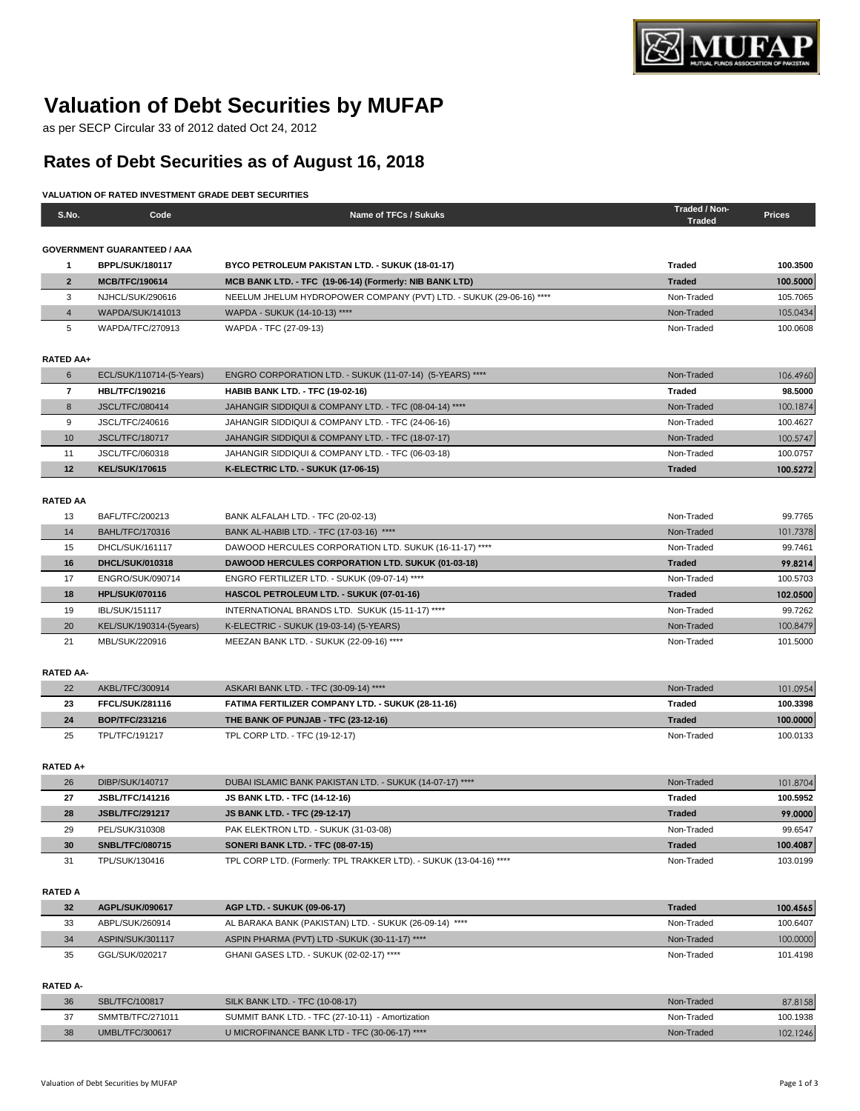

# **Valuation of Debt Securities by MUFAP**

as per SECP Circular 33 of 2012 dated Oct 24, 2012

# **Rates of Debt Securities as of August 16, 2018**

## **VALUATION OF RATED INVESTMENT GRADE DEBT SECURITIES**

| S.No.                    | Code                                     | Name of TFCs / Sukuks                                                            | Traded / Non-<br><b>Traded</b> | <b>Prices</b>        |
|--------------------------|------------------------------------------|----------------------------------------------------------------------------------|--------------------------------|----------------------|
|                          | <b>GOVERNMENT GUARANTEED / AAA</b>       |                                                                                  |                                |                      |
| 1                        | <b>BPPL/SUK/180117</b>                   | BYCO PETROLEUM PAKISTAN LTD. - SUKUK (18-01-17)                                  | Traded                         | 100.3500             |
| $\overline{2}$           | MCB/TFC/190614                           | MCB BANK LTD. - TFC (19-06-14) (Formerly: NIB BANK LTD)                          | <b>Traded</b>                  | 100.5000             |
| 3                        | NJHCL/SUK/290616                         | NEELUM JHELUM HYDROPOWER COMPANY (PVT) LTD. - SUKUK (29-06-16) ****              | Non-Traded                     | 105.7065             |
| $\overline{4}$           | <b>WAPDA/SUK/141013</b>                  | WAPDA - SUKUK (14-10-13) ****                                                    | Non-Traded                     | 105.0434             |
| 5                        | WAPDA/TFC/270913                         | WAPDA - TFC (27-09-13)                                                           | Non-Traded                     | 100.0608             |
|                          |                                          |                                                                                  |                                |                      |
| <b>RATED AA+</b>         |                                          |                                                                                  |                                |                      |
| 6                        | ECL/SUK/110714-(5-Years)                 | ENGRO CORPORATION LTD. - SUKUK (11-07-14) (5-YEARS) ****                         | Non-Traded                     | 106.4960             |
| $\overline{\phantom{a}}$ | <b>HBL/TFC/190216</b>                    | <b>HABIB BANK LTD. - TFC (19-02-16)</b>                                          | Traded                         | 98.5000              |
| 8                        | <b>JSCL/TFC/080414</b>                   | JAHANGIR SIDDIQUI & COMPANY LTD. - TFC (08-04-14) ****                           | Non-Traded                     | 100.1874             |
| 9                        | JSCL/TFC/240616                          | JAHANGIR SIDDIQUI & COMPANY LTD. - TFC (24-06-16)                                | Non-Traded                     | 100.4627             |
| 10                       | <b>JSCL/TFC/180717</b>                   | JAHANGIR SIDDIQUI & COMPANY LTD. - TFC (18-07-17)                                | Non-Traded                     | 100.5747             |
| 11                       | JSCL/TFC/060318                          | JAHANGIR SIDDIQUI & COMPANY LTD. - TFC (06-03-18)                                | Non-Traded                     | 100.0757             |
| 12                       | <b>KEL/SUK/170615</b>                    | K-ELECTRIC LTD. - SUKUK (17-06-15)                                               | <b>Traded</b>                  | 100.5272             |
|                          |                                          |                                                                                  |                                |                      |
| <b>RATED AA</b>          |                                          |                                                                                  |                                |                      |
| 13                       | BAFL/TFC/200213                          | BANK ALFALAH LTD. - TFC (20-02-13)                                               | Non-Traded                     | 99.7765              |
| 14                       | <b>BAHL/TFC/170316</b>                   | BANK AL-HABIB LTD. - TFC (17-03-16) ****                                         | Non-Traded                     | 101.7378             |
| 15                       | DHCL/SUK/161117                          | DAWOOD HERCULES CORPORATION LTD. SUKUK (16-11-17) ****                           | Non-Traded                     | 99.7461              |
| 16                       | DHCL/SUK/010318                          | <b>DAWOOD HERCULES CORPORATION LTD. SUKUK (01-03-18)</b>                         | <b>Traded</b>                  | 99.8214              |
| 17                       | ENGRO/SUK/090714                         | ENGRO FERTILIZER LTD. - SUKUK (09-07-14) ****                                    | Non-Traded                     | 100.5703             |
| 18                       | <b>HPL/SUK/070116</b>                    | HASCOL PETROLEUM LTD. - SUKUK (07-01-16)                                         | <b>Traded</b>                  | 102.0500             |
| 19                       | <b>IBL/SUK/151117</b>                    | INTERNATIONAL BRANDS LTD. SUKUK (15-11-17) ****                                  | Non-Traded                     | 99.7262              |
| 20                       | KEL/SUK/190314-(5years)                  | K-ELECTRIC - SUKUK (19-03-14) (5-YEARS)                                          | Non-Traded                     | 100.8479             |
| 21                       | MBL/SUK/220916                           | MEEZAN BANK LTD. - SUKUK (22-09-16) ****                                         | Non-Traded                     | 101.5000             |
|                          |                                          |                                                                                  |                                |                      |
| <b>RATED AA-</b>         |                                          |                                                                                  |                                |                      |
| 22                       | AKBL/TFC/300914                          | ASKARI BANK LTD. - TFC (30-09-14) ****                                           | Non-Traded                     | 101.0954             |
| 23                       | <b>FFCL/SUK/281116</b>                   | FATIMA FERTILIZER COMPANY LTD. - SUKUK (28-11-16)                                | <b>Traded</b>                  | 100.3398             |
| 24                       | BOP/TFC/231216                           | THE BANK OF PUNJAB - TFC (23-12-16)                                              | <b>Traded</b>                  | 100.0000             |
| 25                       | TPL/TFC/191217                           | TPL CORP LTD. - TFC (19-12-17)                                                   | Non-Traded                     | 100.0133             |
|                          |                                          |                                                                                  |                                |                      |
| RATED A+                 | DIBP/SUK/140717                          |                                                                                  | Non-Traded                     |                      |
| 26<br>27                 | <b>JSBL/TFC/141216</b>                   | DUBAI ISLAMIC BANK PAKISTAN LTD. - SUKUK (14-07-17) ****                         | Traded                         | 101.8704<br>100.5952 |
| 28                       | <b>JSBL/TFC/291217</b>                   | <b>JS BANK LTD. - TFC (14-12-16)</b><br>JS BANK LTD. - TFC (29-12-17)            | <b>Traded</b>                  |                      |
| 29                       |                                          |                                                                                  | Non-Traded                     | 99.0000<br>99.6547   |
| 30                       | PEL/SUK/310308<br><b>SNBL/TFC/080715</b> | PAK ELEKTRON LTD. - SUKUK (31-03-08)<br><b>SONERI BANK LTD. - TFC (08-07-15)</b> | <b>Traded</b>                  | 100.4087             |
| 31                       | TPL/SUK/130416                           | TPL CORP LTD. (Formerly: TPL TRAKKER LTD). - SUKUK (13-04-16) ****               | Non-Traded                     | 103.0199             |
|                          |                                          |                                                                                  |                                |                      |
| <b>RATED A</b>           |                                          |                                                                                  |                                |                      |
| 32                       | AGPL/SUK/090617                          | AGP LTD. - SUKUK (09-06-17)                                                      | <b>Traded</b>                  | 100.4565             |
| 33                       | ABPL/SUK/260914                          | AL BARAKA BANK (PAKISTAN) LTD. - SUKUK (26-09-14) ****                           | Non-Traded                     | 100.6407             |
| 34                       | ASPIN/SUK/301117                         | ASPIN PHARMA (PVT) LTD -SUKUK (30-11-17) ****                                    | Non-Traded                     | 100.0000             |
| 35                       | GGL/SUK/020217                           | GHANI GASES LTD. - SUKUK (02-02-17) ****                                         | Non-Traded                     | 101.4198             |
|                          |                                          |                                                                                  |                                |                      |
| <b>RATED A-</b>          |                                          |                                                                                  |                                |                      |
| 36                       | SBL/TFC/100817                           | SILK BANK LTD. - TFC (10-08-17)                                                  | Non-Traded                     | 87.8158              |
| 37                       | SMMTB/TFC/271011                         | SUMMIT BANK LTD. - TFC (27-10-11) - Amortization                                 | Non-Traded                     | 100.1938             |

38 UMBL/TFC/300617 UMICROFINANCE BANK LTD - TFC (30-06-17) \*\*\*\* Non-Traded Non-Traded 102.1246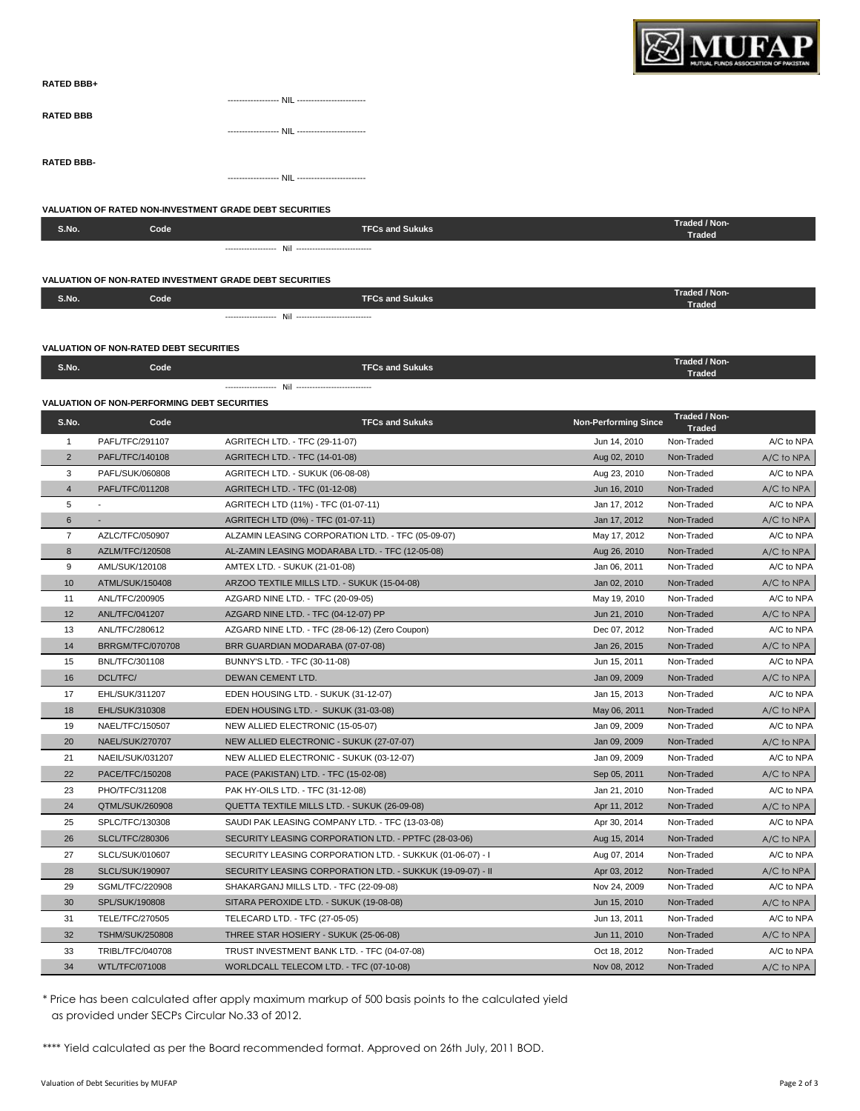

| <b>RATED BBB+</b> |  |
|-------------------|--|
|                   |  |
| <b>RATED BBB</b>  |  |
|                   |  |
|                   |  |
| <b>RATED BBB-</b> |  |
|                   |  |

#### **VALUATION OF RATED NON-INVESTMENT GRADE DEBT SECURITIES**

| S.No.                                                          | Code | <b>TFCs and Sukuks</b> | Traded / Non-<br>Traded        |  |  |  |  |  |
|----------------------------------------------------------------|------|------------------------|--------------------------------|--|--|--|--|--|
|                                                                |      |                        |                                |  |  |  |  |  |
| <b>VALUATION OF NON-RATED INVESTMENT GRADE DEBT SECURITIES</b> |      |                        |                                |  |  |  |  |  |
| S.No.                                                          | Code | <b>TFCs and Sukuks</b> | Traded / Non-<br>Traded        |  |  |  |  |  |
|                                                                |      |                        |                                |  |  |  |  |  |
| <b>VALUATION OF NON-RATED DEBT SECURITIES</b>                  |      |                        |                                |  |  |  |  |  |
| S.No.                                                          | Code | <b>TFCs and Sukuks</b> | Traded / Non-<br><b>Traded</b> |  |  |  |  |  |
|                                                                |      |                        |                                |  |  |  |  |  |

### **VALUATION OF NON-PERFORMING DEBT SECURITIES**

| S.No.          | Code                   | <b>TFCs and Sukuks</b>                                     | <b>Non-Performing Since</b> | Traded / Non-<br><b>Traded</b> |            |
|----------------|------------------------|------------------------------------------------------------|-----------------------------|--------------------------------|------------|
| 1              | PAFL/TFC/291107        | AGRITECH LTD. - TFC (29-11-07)                             | Jun 14, 2010                | Non-Traded                     | A/C to NPA |
| $\overline{2}$ | PAFL/TFC/140108        | AGRITECH LTD. - TFC (14-01-08)                             | Aug 02, 2010                | Non-Traded                     | A/C to NPA |
| 3              | PAFL/SUK/060808        | AGRITECH LTD. - SUKUK (06-08-08)                           | Aug 23, 2010                | Non-Traded                     | A/C to NPA |
| $\overline{4}$ | PAFL/TFC/011208        | AGRITECH LTD. - TFC (01-12-08)                             | Jun 16, 2010                | Non-Traded                     | A/C to NPA |
| 5              |                        | AGRITECH LTD (11%) - TFC (01-07-11)                        | Jan 17, 2012                | Non-Traded                     | A/C to NPA |
| 6              |                        | AGRITECH LTD (0%) - TFC (01-07-11)                         | Jan 17, 2012                | Non-Traded                     | A/C to NPA |
| $\overline{7}$ | AZLC/TFC/050907        | ALZAMIN LEASING CORPORATION LTD. - TFC (05-09-07)          | May 17, 2012                | Non-Traded                     | A/C to NPA |
| 8              | AZLM/TFC/120508        | AL-ZAMIN LEASING MODARABA LTD. - TFC (12-05-08)            | Aug 26, 2010                | Non-Traded                     | A/C to NPA |
| 9              | AML/SUK/120108         | AMTEX LTD. - SUKUK (21-01-08)                              | Jan 06, 2011                | Non-Traded                     | A/C to NPA |
| 10             | ATML/SUK/150408        | ARZOO TEXTILE MILLS LTD. - SUKUK (15-04-08)                | Jan 02, 2010                | Non-Traded                     | A/C to NPA |
| 11             | ANL/TFC/200905         | AZGARD NINE LTD. - TFC (20-09-05)                          | May 19, 2010                | Non-Traded                     | A/C to NPA |
| 12             | <b>ANL/TFC/041207</b>  | AZGARD NINE LTD. - TFC (04-12-07) PP                       | Jun 21, 2010                | Non-Traded                     | A/C to NPA |
| 13             | ANL/TFC/280612         | AZGARD NINE LTD. - TFC (28-06-12) (Zero Coupon)            | Dec 07, 2012                | Non-Traded                     | A/C to NPA |
| 14             | BRRGM/TFC/070708       | BRR GUARDIAN MODARABA (07-07-08)                           | Jan 26, 2015                | Non-Traded                     | A/C to NPA |
| 15             | <b>BNL/TFC/301108</b>  | BUNNY'S LTD. - TFC (30-11-08)                              | Jun 15, 2011                | Non-Traded                     | A/C to NPA |
| 16             | DCL/TFC/               | DEWAN CEMENT LTD.                                          | Jan 09, 2009                | Non-Traded                     | A/C to NPA |
| 17             | EHL/SUK/311207         | EDEN HOUSING LTD. - SUKUK (31-12-07)                       | Jan 15, 2013                | Non-Traded                     | A/C to NPA |
| 18             | EHL/SUK/310308         | EDEN HOUSING LTD. - SUKUK (31-03-08)                       | May 06, 2011                | Non-Traded                     | A/C to NPA |
| 19             | NAEL/TFC/150507        | NEW ALLIED ELECTRONIC (15-05-07)                           | Jan 09, 2009                | Non-Traded                     | A/C to NPA |
| 20             | <b>NAEL/SUK/270707</b> | NEW ALLIED ELECTRONIC - SUKUK (27-07-07)                   | Jan 09, 2009                | Non-Traded                     | A/C to NPA |
| 21             | NAEIL/SUK/031207       | NEW ALLIED ELECTRONIC - SUKUK (03-12-07)                   | Jan 09, 2009                | Non-Traded                     | A/C to NPA |
| 22             | PACE/TFC/150208        | PACE (PAKISTAN) LTD. - TFC (15-02-08)                      | Sep 05, 2011                | Non-Traded                     | A/C to NPA |
| 23             | PHO/TFC/311208         | PAK HY-OILS LTD. - TFC (31-12-08)                          | Jan 21, 2010                | Non-Traded                     | A/C to NPA |
| 24             | QTML/SUK/260908        | QUETTA TEXTILE MILLS LTD. - SUKUK (26-09-08)               | Apr 11, 2012                | Non-Traded                     | A/C to NPA |
| 25             | SPLC/TFC/130308        | SAUDI PAK LEASING COMPANY LTD. - TFC (13-03-08)            | Apr 30, 2014                | Non-Traded                     | A/C to NPA |
| 26             | <b>SLCL/TFC/280306</b> | SECURITY LEASING CORPORATION LTD. - PPTFC (28-03-06)       | Aug 15, 2014                | Non-Traded                     | A/C to NPA |
| 27             | SLCL/SUK/010607        | SECURITY LEASING CORPORATION LTD. - SUKKUK (01-06-07) - I  | Aug 07, 2014                | Non-Traded                     | A/C to NPA |
| 28             | <b>SLCL/SUK/190907</b> | SECURITY LEASING CORPORATION LTD. - SUKKUK (19-09-07) - II | Apr 03, 2012                | Non-Traded                     | A/C to NPA |
| 29             | SGML/TFC/220908        | SHAKARGANJ MILLS LTD. - TFC (22-09-08)                     | Nov 24, 2009                | Non-Traded                     | A/C to NPA |
| 30             | SPL/SUK/190808         | SITARA PEROXIDE LTD. - SUKUK (19-08-08)                    | Jun 15, 2010                | Non-Traded                     | A/C to NPA |
| 31             | TELE/TFC/270505        | TELECARD LTD. - TFC (27-05-05)                             | Jun 13, 2011                | Non-Traded                     | A/C to NPA |
| 32             | <b>TSHM/SUK/250808</b> | THREE STAR HOSIERY - SUKUK (25-06-08)                      | Jun 11, 2010                | Non-Traded                     | A/C to NPA |
| 33             | TRIBL/TFC/040708       | TRUST INVESTMENT BANK LTD. - TFC (04-07-08)                | Oct 18, 2012                | Non-Traded                     | A/C to NPA |
| 34             | WTL/TFC/071008         | WORLDCALL TELECOM LTD. - TFC (07-10-08)                    | Nov 08, 2012                | Non-Traded                     | A/C to NPA |

\* Price has been calculated after apply maximum markup of 500 basis points to the calculated yield as provided under SECPs Circular No.33 of 2012.

\*\*\*\* Yield calculated as per the Board recommended format. Approved on 26th July, 2011 BOD.